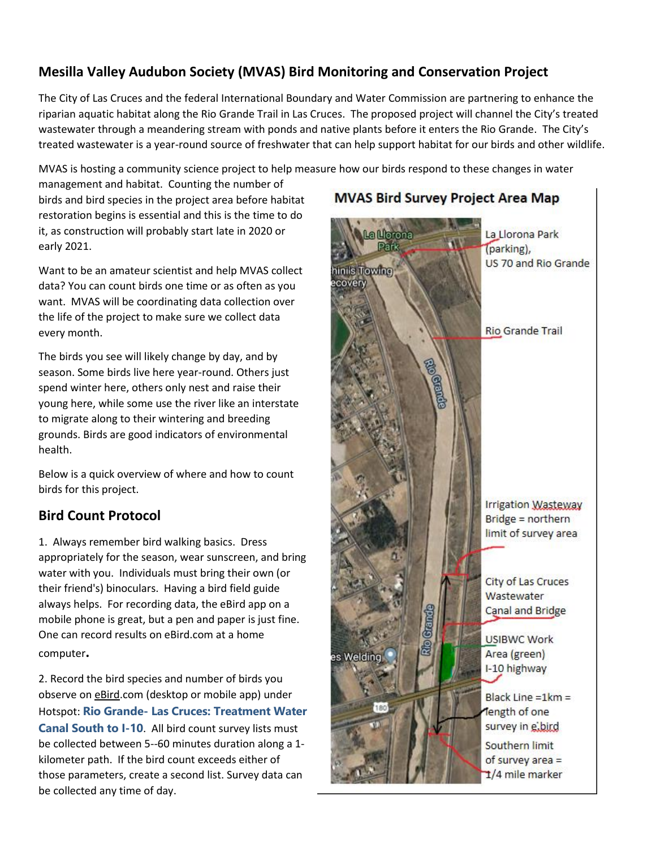## **Mesilla Valley Audubon Society (MVAS) Bird Monitoring and Conservation Project**

The City of Las Cruces and the federal International Boundary and Water Commission are partnering to enhance the riparian aquatic habitat along the Rio Grande Trail in Las Cruces. The proposed project will channel the City's treated wastewater through a meandering stream with ponds and native plants before it enters the Rio Grande. The City's treated wastewater is a year-round source of freshwater that can help support habitat for our birds and other wildlife.

MVAS is hosting a community science project to help measure how our birds respond to these changes in water

management and habitat. Counting the number of birds and bird species in the project area before habitat restoration begins is essential and this is the time to do it, as construction will probably start late in 2020 or early 2021.

Want to be an amateur scientist and help MVAS collect data? You can count birds one time or as often as you want. MVAS will be coordinating data collection over the life of the project to make sure we collect data every month.

The birds you see will likely change by day, and by season. Some birds live here year-round. Others just spend winter here, others only nest and raise their young here, while some use the river like an interstate to migrate along to their wintering and breeding grounds. Birds are good indicators of environmental health.

Below is a quick overview of where and how to count birds for this project.

## **Bird Count Protocol**

1. Always remember bird walking basics. Dress appropriately for the season, wear sunscreen, and bring water with you. Individuals must bring their own (or their friend's) binoculars. Having a bird field guide always helps. For recording data, the eBird app on a mobile phone is great, but a pen and paper is just fine. One can record results on eBird.com at a home computer**.**

2. Record the bird species and number of birds you observe on eBird.com (desktop or mobile app) under Hotspot: **Rio Grande- [Las Cruces: Treatment Water](https://ebird.org/hotspot/L10067095)  [Canal South to I-10](https://ebird.org/hotspot/L10067095)**. All bird count survey lists must be collected between 5--60 minutes duration along a 1 kilometer path. If the bird count exceeds either of those parameters, create a second list. Survey data can be collected any time of day.

## **MVAS Bird Survey Project Area Map**